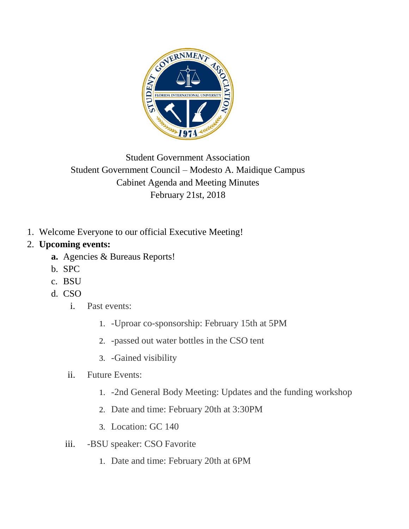

## Student Government Association Student Government Council – Modesto A. Maidique Campus Cabinet Agenda and Meeting Minutes February 21st, 2018

1. Welcome Everyone to our official Executive Meeting!

## 2. **Upcoming events:**

- **a.** Agencies & Bureaus Reports!
- b. SPC
- c. BSU
- d. CSO
	- i. Past events:
		- 1. -Uproar co-sponsorship: February 15th at 5PM
		- 2. -passed out water bottles in the CSO tent
		- 3. -Gained visibility

## ii. Future Events:

- 1. -2nd General Body Meeting: Updates and the funding workshop
- 2. Date and time: February 20th at 3:30PM
- 3. Location: GC 140
- iii. -BSU speaker: CSO Favorite
	- 1. Date and time: February 20th at 6PM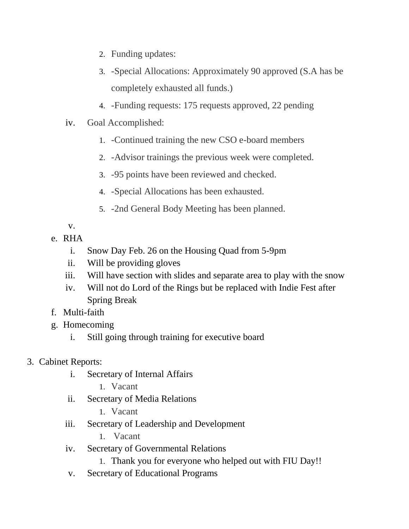- 2. Funding updates:
- 3. -Special Allocations: Approximately 90 approved (S.A has be completely exhausted all funds.)
- 4. -Funding requests: 175 requests approved, 22 pending
- iv. Goal Accomplished:
	- 1. -Continued training the new CSO e-board members
	- 2. -Advisor trainings the previous week were completed.
	- 3. -95 points have been reviewed and checked.
	- 4. -Special Allocations has been exhausted.
	- 5. -2nd General Body Meeting has been planned.

v.

- e. RHA
	- i. Snow Day Feb. 26 on the Housing Quad from 5-9pm
	- ii. Will be providing gloves
	- iii. Will have section with slides and separate area to play with the snow
	- iv. Will not do Lord of the Rings but be replaced with Indie Fest after Spring Break
- f. Multi-faith
- g. Homecoming
	- i. Still going through training for executive board
- 3. Cabinet Reports:
	- i. Secretary of Internal Affairs
		- 1. Vacant
	- ii. Secretary of Media Relations
		- 1. Vacant
	- iii. Secretary of Leadership and Development
		- 1. Vacant
	- iv. Secretary of Governmental Relations
		- 1. Thank you for everyone who helped out with FIU Day!!
	- v. Secretary of Educational Programs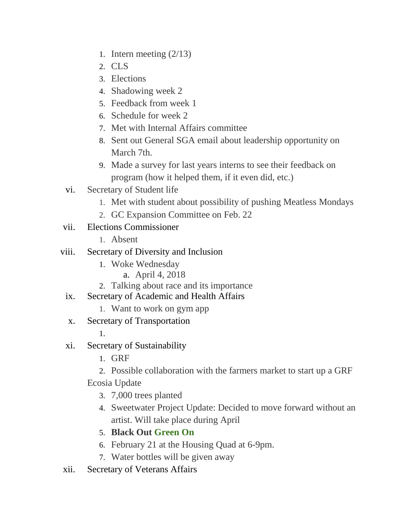- 1. Intern meeting (2/13)
- 2. CLS
- 3. Elections
- 4. Shadowing week 2
- 5. Feedback from week 1
- 6. Schedule for week 2
- 7. Met with Internal Affairs committee
- 8. Sent out General SGA email about leadership opportunity on March 7th.
- 9. Made a survey for last years interns to see their feedback on program (how it helped them, if it even did, etc.)
- vi. Secretary of Student life
	- 1. Met with student about possibility of pushing Meatless Mondays
	- 2. GC Expansion Committee on Feb. 22
- vii. Elections Commissioner
	- 1. Absent
- viii. Secretary of Diversity and Inclusion
	- 1. Woke Wednesday
		- a. April 4, 2018
	- 2. Talking about race and its importance
	- ix. Secretary of Academic and Health Affairs
		- 1. Want to work on gym app
	- x. Secretary of Transportation

1.

- xi. Secretary of Sustainability
	- 1. GRF
	- 2. Possible collaboration with the farmers market to start up a GRF Ecosia Update
		- 3. 7,000 trees planted
		- 4. Sweetwater Project Update: Decided to move forward without an artist. Will take place during April
		- 5. **Black Out Green On**
		- 6. February 21 at the Housing Quad at 6-9pm.
		- 7. Water bottles will be given away
- xii. Secretary of Veterans Affairs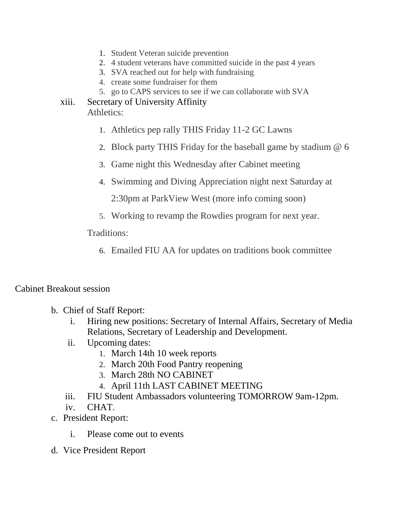- 1. Student Veteran suicide prevention
- 2. 4 student veterans have committed suicide in the past 4 years
- 3. SVA reached out for help with fundraising
- 4. create some fundraiser for them
- 5. go to CAPS services to see if we can collaborate with SVA
- xiii. Secretary of University Affinity Athletics:
	- 1. Athletics pep rally THIS Friday 11-2 GC Lawns
	- 2. Block party THIS Friday for the baseball game by stadium @ 6
	- 3. Game night this Wednesday after Cabinet meeting
	- 4. Swimming and Diving Appreciation night next Saturday at

2:30pm at ParkView West (more info coming soon)

5. Working to revamp the Rowdies program for next year.

Traditions:

6. Emailed FIU AA for updates on traditions book committee

## Cabinet Breakout session

- b. Chief of Staff Report:
	- i. Hiring new positions: Secretary of Internal Affairs, Secretary of Media Relations, Secretary of Leadership and Development.
	- ii. Upcoming dates:
		- 1. March 14th 10 week reports
		- 2. March 20th Food Pantry reopening
		- 3. March 28th NO CABINET
		- 4. April 11th LAST CABINET MEETING
	- iii. FIU Student Ambassadors volunteering TOMORROW 9am-12pm.

iv. CHAT.

- c. President Report:
	- i. Please come out to events
- d. Vice President Report